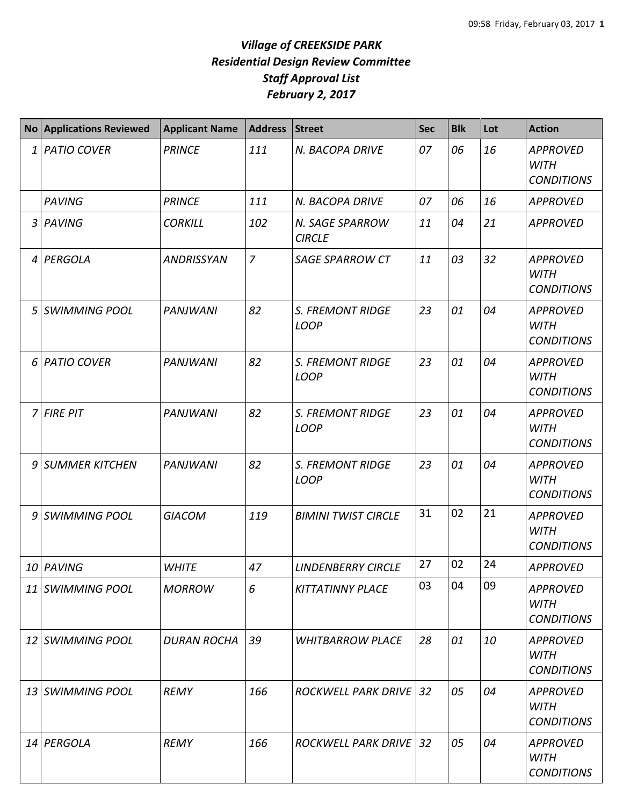|    | <b>No Applications Reviewed</b> | <b>Applicant Name</b> | <b>Address</b> | <b>Street</b>                          | <b>Sec</b> | <b>Blk</b> | Lot | <b>Action</b>                                       |
|----|---------------------------------|-----------------------|----------------|----------------------------------------|------------|------------|-----|-----------------------------------------------------|
| 1  | <b>PATIO COVER</b>              | <b>PRINCE</b>         | 111            | N. BACOPA DRIVE                        | 07         | 06         | 16  | <b>APPROVED</b><br><b>WITH</b><br><b>CONDITIONS</b> |
|    | <b>PAVING</b>                   | <b>PRINCE</b>         | 111            | N. BACOPA DRIVE                        | 07         | 06         | 16  | <b>APPROVED</b>                                     |
| 3  | PAVING                          | <b>CORKILL</b>        | 102            | N. SAGE SPARROW<br><b>CIRCLE</b>       | 11         | 04         | 21  | <b>APPROVED</b>                                     |
| 4  | PERGOLA                         | <b>ANDRISSYAN</b>     | $\overline{7}$ | <b>SAGE SPARROW CT</b>                 | 11         | 03         | 32  | <b>APPROVED</b><br><b>WITH</b><br><b>CONDITIONS</b> |
| 5  | <b>SWIMMING POOL</b>            | <b>PANJWANI</b>       | 82             | <b>S. FREMONT RIDGE</b><br><b>LOOP</b> | 23         | 01         | 04  | <b>APPROVED</b><br><b>WITH</b><br><b>CONDITIONS</b> |
| 6  | <b>PATIO COVER</b>              | <b>PANJWANI</b>       | 82             | <b>S. FREMONT RIDGE</b><br><b>LOOP</b> | 23         | 01         | 04  | <b>APPROVED</b><br><b>WITH</b><br><b>CONDITIONS</b> |
| 7  | <b>FIRE PIT</b>                 | <b>PANJWANI</b>       | 82             | <b>S. FREMONT RIDGE</b><br><b>LOOP</b> | 23         | 01         | 04  | <b>APPROVED</b><br><b>WITH</b><br><b>CONDITIONS</b> |
| 9  | <b>SUMMER KITCHEN</b>           | <b>PANJWANI</b>       | 82             | <b>S. FREMONT RIDGE</b><br><b>LOOP</b> | 23         | 01         | 04  | <b>APPROVED</b><br><b>WITH</b><br><b>CONDITIONS</b> |
| 9  | <b>SWIMMING POOL</b>            | <b>GIACOM</b>         | 119            | <b>BIMINI TWIST CIRCLE</b>             | 31         | 02         | 21  | <b>APPROVED</b><br><b>WITH</b><br><b>CONDITIONS</b> |
|    | 10 PAVING                       | <b>WHITE</b>          | 47             | <b>LINDENBERRY CIRCLE</b>              | 27         | 02         | 24  | <b>APPROVED</b>                                     |
| 11 | <b>SWIMMING POOL</b>            | <b>MORROW</b>         | 6              | <b>KITTATINNY PLACE</b>                | 03         | 04         | 09  | <b>APPROVED</b><br><b>WITH</b><br><b>CONDITIONS</b> |
| 12 | <b>SWIMMING POOL</b>            | <b>DURAN ROCHA</b>    | 39             | <b>WHITBARROW PLACE</b>                | 28         | 01         | 10  | <b>APPROVED</b><br><b>WITH</b><br><b>CONDITIONS</b> |
| 13 | <b>SWIMMING POOL</b>            | <b>REMY</b>           | 166            | <b>ROCKWELL PARK DRIVE 32</b>          |            | 05         | 04  | <b>APPROVED</b><br>WITH<br><b>CONDITIONS</b>        |
|    | 14 PERGOLA                      | <b>REMY</b>           | 166            | <b>ROCKWELL PARK DRIVE 32</b>          |            | 05         | 04  | <b>APPROVED</b><br><b>WITH</b><br><b>CONDITIONS</b> |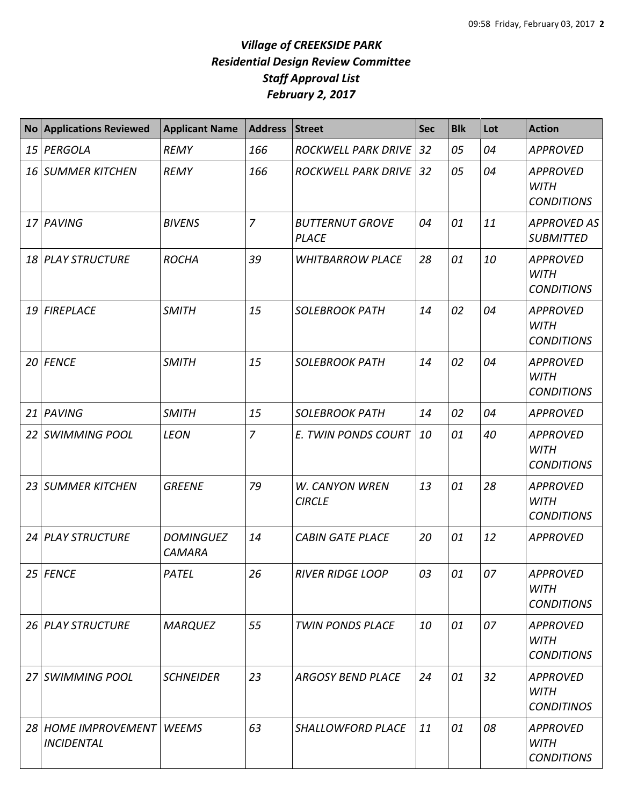| <b>No</b> | <b>Applications Reviewed</b>             | <b>Applicant Name</b>             | <b>Address</b> | <b>Street</b>                          | <b>Sec</b> | <b>Blk</b> | Lot | <b>Action</b>                                       |
|-----------|------------------------------------------|-----------------------------------|----------------|----------------------------------------|------------|------------|-----|-----------------------------------------------------|
| 15        | PERGOLA                                  | <b>REMY</b>                       | 166            | <b>ROCKWELL PARK DRIVE</b>             | 32         | 05         | 04  | <b>APPROVED</b>                                     |
| 16        | <b>SUMMER KITCHEN</b>                    | <b>REMY</b>                       | 166            | <b>ROCKWELL PARK DRIVE</b>             | 32         | 05         | 04  | <b>APPROVED</b><br><b>WITH</b><br><b>CONDITIONS</b> |
| 17        | PAVING                                   | <b>BIVENS</b>                     | $\overline{7}$ | <b>BUTTERNUT GROVE</b><br><b>PLACE</b> | 04         | 01         | 11  | <b>APPROVED AS</b><br><b>SUBMITTED</b>              |
| 18        | <b>PLAY STRUCTURE</b>                    | <b>ROCHA</b>                      | 39             | <b>WHITBARROW PLACE</b>                | 28         | 01         | 10  | <b>APPROVED</b><br><b>WITH</b><br><b>CONDITIONS</b> |
|           | 19 FIREPLACE                             | <b>SMITH</b>                      | 15             | <b>SOLEBROOK PATH</b>                  | 14         | 02         | 04  | <b>APPROVED</b><br><b>WITH</b><br><b>CONDITIONS</b> |
|           | 20 FENCE                                 | <b>SMITH</b>                      | 15             | <b>SOLEBROOK PATH</b>                  | 14         | 02         | 04  | <b>APPROVED</b><br><b>WITH</b><br><b>CONDITIONS</b> |
| 21        | PAVING                                   | <b>SMITH</b>                      | 15             | <b>SOLEBROOK PATH</b>                  | 14         | 02         | 04  | <b>APPROVED</b>                                     |
| 22        | <b>SWIMMING POOL</b>                     | <b>LEON</b>                       | $\overline{7}$ | E. TWIN PONDS COURT                    | 10         | 01         | 40  | <b>APPROVED</b><br><b>WITH</b><br><b>CONDITIONS</b> |
| 23        | <b>SUMMER KITCHEN</b>                    | <b>GREENE</b>                     | 79             | W. CANYON WREN<br><b>CIRCLE</b>        | 13         | 01         | 28  | <b>APPROVED</b><br><b>WITH</b><br><b>CONDITIONS</b> |
| 24        | <b>PLAY STRUCTURE</b>                    | <b>DOMINGUEZ</b><br><b>CAMARA</b> | 14             | <b>CABIN GATE PLACE</b>                | 20         | 01         | 12  | <b>APPROVED</b>                                     |
|           | 25 FENCE                                 | PATEL                             | 26             | <b>RIVER RIDGE LOOP</b>                | 03         | 01         | 07  | <b>APPROVED</b><br><b>WITH</b><br><b>CONDITIONS</b> |
|           | 26 PLAY STRUCTURE                        | <b>MARQUEZ</b>                    | 55             | <b>TWIN PONDS PLACE</b>                | 10         | 01         | 07  | <b>APPROVED</b><br><b>WITH</b><br><b>CONDITIONS</b> |
| 27        | <b>SWIMMING POOL</b>                     | <b>SCHNEIDER</b>                  | 23             | <b>ARGOSY BEND PLACE</b>               | 24         | 01         | 32  | <b>APPROVED</b><br><b>WITH</b><br><b>CONDITINOS</b> |
|           | 28 HOME IMPROVEMENT<br><b>INCIDENTAL</b> | <b>WEEMS</b>                      | 63             | SHALLOWFORD PLACE                      | 11         | 01         | 08  | <b>APPROVED</b><br><b>WITH</b><br><b>CONDITIONS</b> |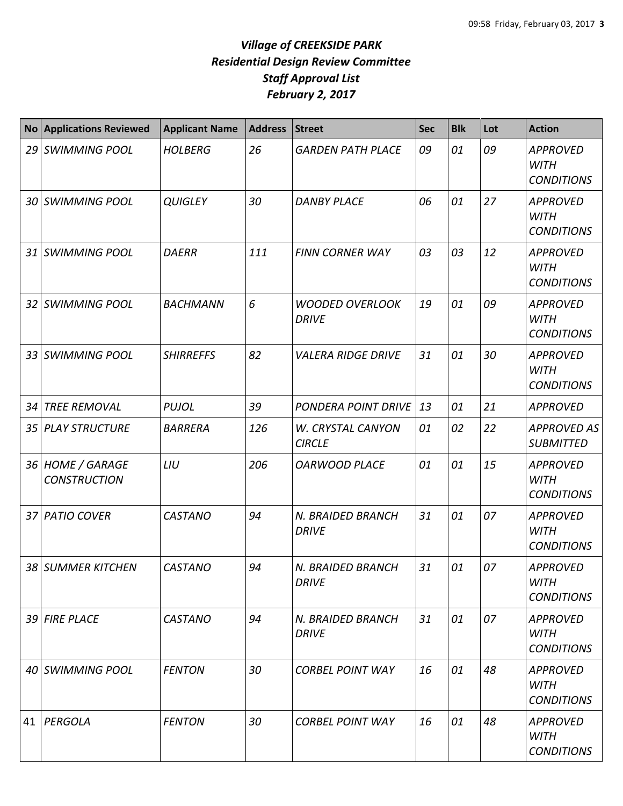| <b>No</b> | <b>Applications Reviewed</b>            | <b>Applicant Name</b> | <b>Address</b> | <b>Street</b>                          | <b>Sec</b> | <b>Blk</b> | Lot | <b>Action</b>                                       |
|-----------|-----------------------------------------|-----------------------|----------------|----------------------------------------|------------|------------|-----|-----------------------------------------------------|
|           | 29 SWIMMING POOL                        | <b>HOLBERG</b>        | 26             | <b>GARDEN PATH PLACE</b>               | 09         | 01         | 09  | <b>APPROVED</b><br><b>WITH</b><br><b>CONDITIONS</b> |
|           | 30 SWIMMING POOL                        | <b>QUIGLEY</b>        | 30             | <b>DANBY PLACE</b>                     | 06         | 01         | 27  | <b>APPROVED</b><br><b>WITH</b><br><b>CONDITIONS</b> |
|           | 31 SWIMMING POOL                        | <b>DAERR</b>          | 111            | <b>FINN CORNER WAY</b>                 | 03         | 03         | 12  | <b>APPROVED</b><br><b>WITH</b><br><b>CONDITIONS</b> |
|           | 32 SWIMMING POOL                        | <b>BACHMANN</b>       | 6              | <b>WOODED OVERLOOK</b><br><b>DRIVE</b> | 19         | 01         | 09  | <b>APPROVED</b><br><b>WITH</b><br><b>CONDITIONS</b> |
|           | 33 SWIMMING POOL                        | <b>SHIRREFFS</b>      | 82             | <b>VALERA RIDGE DRIVE</b>              | 31         | 01         | 30  | <b>APPROVED</b><br><b>WITH</b><br><b>CONDITIONS</b> |
| 34        | <b>TREE REMOVAL</b>                     | <b>PUJOL</b>          | 39             | PONDERA POINT DRIVE                    | 13         | 01         | 21  | <b>APPROVED</b>                                     |
|           | 35 PLAY STRUCTURE                       | <b>BARRERA</b>        | 126            | W. CRYSTAL CANYON<br><b>CIRCLE</b>     | 01         | 02         | 22  | <b>APPROVED AS</b><br><b>SUBMITTED</b>              |
|           | 36 HOME / GARAGE<br><b>CONSTRUCTION</b> | LIU                   | 206            | <b>OARWOOD PLACE</b>                   | 01         | 01         | 15  | <b>APPROVED</b><br><b>WITH</b><br><b>CONDITIONS</b> |
|           | 37 PATIO COVER                          | <b>CASTANO</b>        | 94             | N. BRAIDED BRANCH<br><b>DRIVE</b>      | 31         | 01         | 07  | <b>APPROVED</b><br><b>WITH</b><br><b>CONDITIONS</b> |
|           | 38 SUMMER KITCHEN                       | <b>CASTANO</b>        | 94             | N. BRAIDED BRANCH<br><b>DRIVE</b>      | 31         | 01         | 07  | <b>APPROVED</b><br><b>WITH</b><br><b>CONDITIONS</b> |
|           | 39 FIRE PLACE                           | <b>CASTANO</b>        | 94             | N. BRAIDED BRANCH<br>DRIVE             | 31         | 01         | 07  | <b>APPROVED</b><br>WITH<br><b>CONDITIONS</b>        |
|           | 40 SWIMMING POOL                        | <b>FENTON</b>         | 30             | <b>CORBEL POINT WAY</b>                | 16         | 01         | 48  | <b>APPROVED</b><br>WITH<br><b>CONDITIONS</b>        |
|           | 41   PERGOLA                            | <b>FENTON</b>         | 30             | <b>CORBEL POINT WAY</b>                | 16         | 01         | 48  | <b>APPROVED</b><br>WITH<br><b>CONDITIONS</b>        |